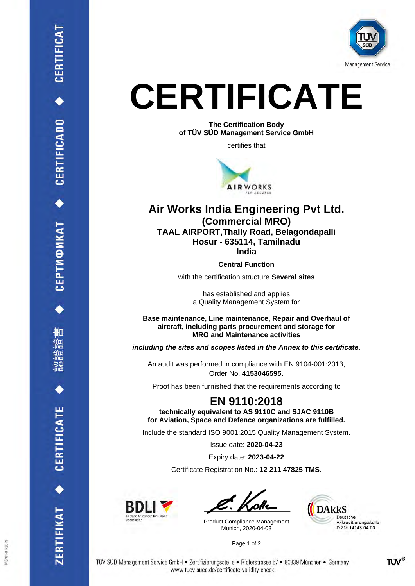

## **CERTIFICATE**

**The Certification Body of TÜV SÜD Management Service GmbH**

certifies that



## **Air Works India Engineering Pvt Ltd. (Commercial MRO) TAAL AIRPORT,Thally Road, Belagondapalli Hosur - 635114, Tamilnadu India**

**Central Function**

with the certification structure **Several sites**

has established and applies a Quality Management System for

**Base maintenance, Line maintenance, Repair and Overhaul of aircraft, including parts procurement and storage for MRO and Maintenance activities**

*including the sites and scopes listed in the Annex to this certificate*.

An audit was performed in compliance with EN 9104-001:2013, Order No. **4153046595**.

Proof has been furnished that the requirements according to

## **EN 9110:2018**

**technically equivalent to AS 9110C and SJAC 9110B for Aviation, Space and Defence organizations are fulfilled.**

Include the standard ISO 9001:2015 Quality Management System.

Issue date: **2020-04-23**

Expiry date: **2023-04-22**

Certificate Registration No.: **12 211 47825 TMS**.



Product Compliance Management Munich, 2020-04-03



Page 1 of 2

**CERTIFICADO** 

**CEPTUONKAT** 

CERTIFICATE

**IFIKAT**